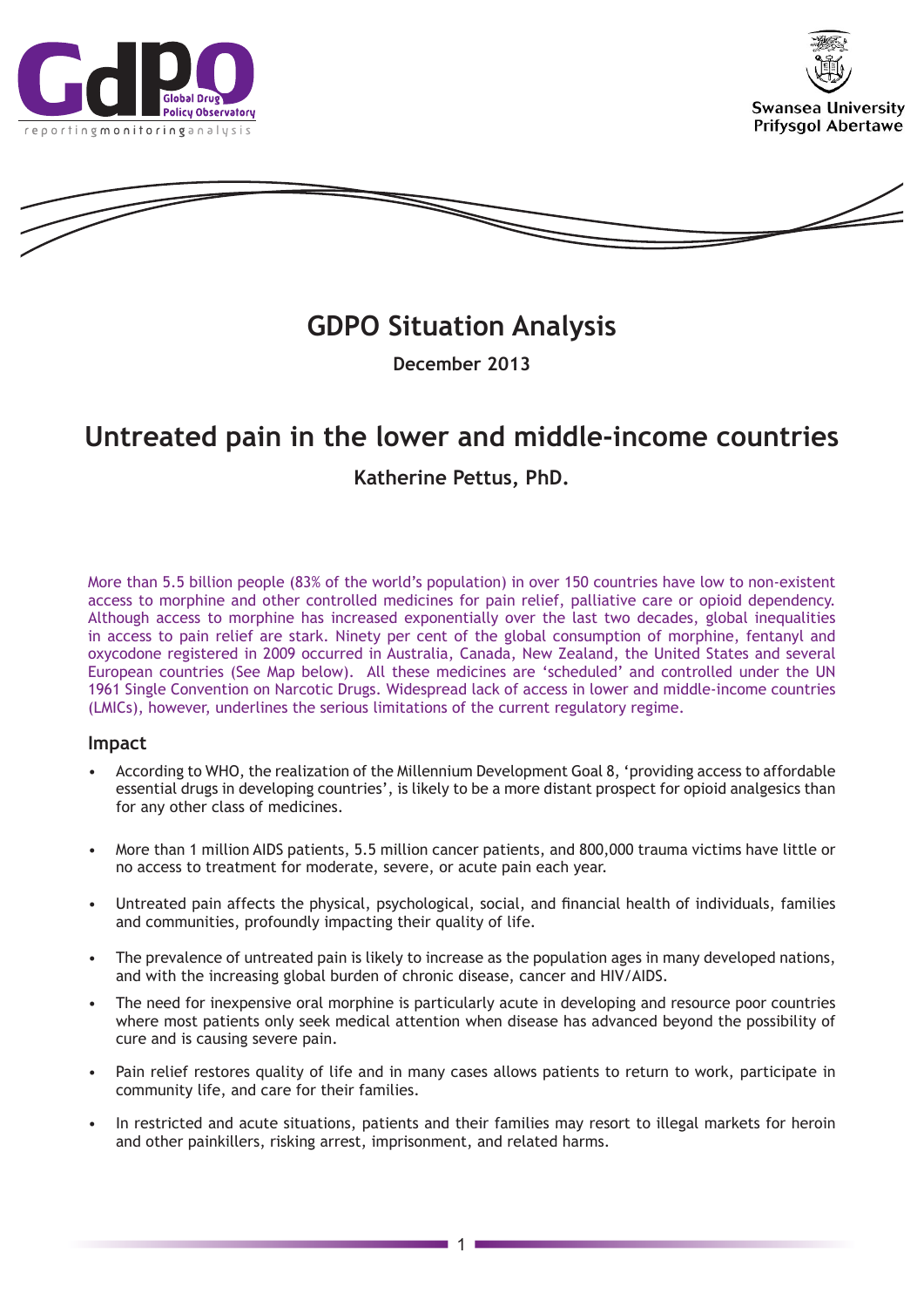





# **GDPO Situation Analysis**

**December 2013**

# **Untreated pain in the lower and middle-income countries**

# **Katherine Pettus, PhD.**

More than 5.5 billion people (83% of the world's population) in over 150 countries have low to non-existent access to morphine and other controlled medicines for pain relief, palliative care or opioid dependency. Although access to morphine has increased exponentially over the last two decades, global inequalities in access to pain relief are stark. Ninety per cent of the global consumption of morphine, fentanyl and oxycodone registered in 2009 occurred in Australia, Canada, New Zealand, the United States and several European countries (See Map below). All these medicines are 'scheduled' and controlled under the UN 1961 Single Convention on Narcotic Drugs. Widespread lack of access in lower and middle-income countries (LMICs), however, underlines the serious limitations of the current regulatory regime.

### **Impact**

- According to WHO, the realization of the Millennium Development Goal 8, 'providing access to affordable essential drugs in developing countries', is likely to be a more distant prospect for opioid analgesics than for any other class of medicines.
- More than 1 million AIDS patients, 5.5 million cancer patients, and 800,000 trauma victims have little or no access to treatment for moderate, severe, or acute pain each year.
- Untreated pain affects the physical, psychological, social, and financial health of individuals, families and communities, profoundly impacting their quality of life.
- The prevalence of untreated pain is likely to increase as the population ages in many developed nations, and with the increasing global burden of chronic disease, cancer and HIV/AIDS.
- The need for inexpensive oral morphine is particularly acute in developing and resource poor countries where most patients only seek medical attention when disease has advanced beyond the possibility of cure and is causing severe pain.
- Pain relief restores quality of life and in many cases allows patients to return to work, participate in community life, and care for their families.
- In restricted and acute situations, patients and their families may resort to illegal markets for heroin and other painkillers, risking arrest, imprisonment, and related harms.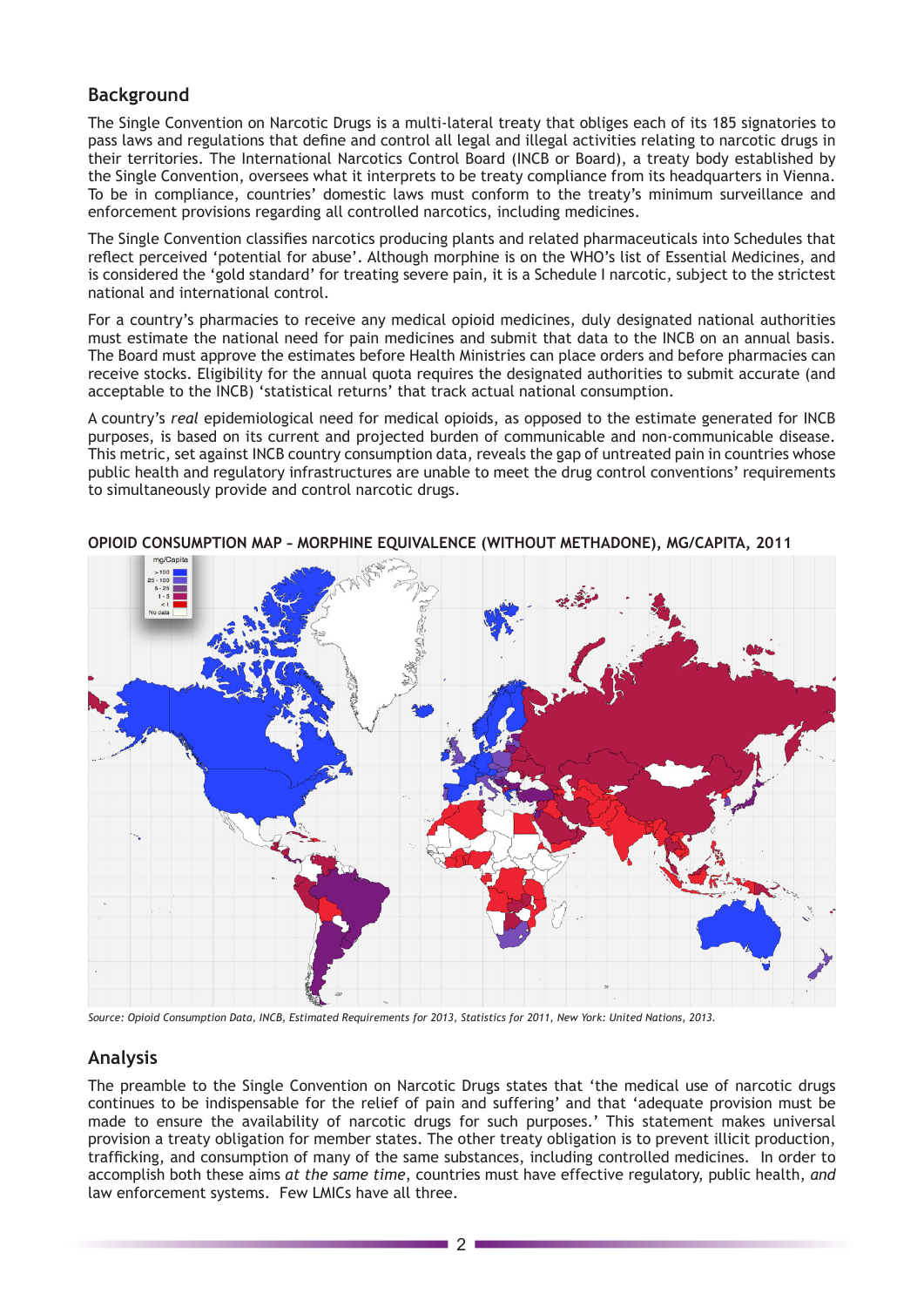## **Background**

The Single Convention on Narcotic Drugs is a multi-lateral treaty that obliges each of its 185 signatories to pass laws and regulations that define and control all legal and illegal activities relating to narcotic drugs in their territories. The International Narcotics Control Board (INCB or Board), a treaty body established by the Single Convention, oversees what it interprets to be treaty compliance from its headquarters in Vienna. To be in compliance, countries' domestic laws must conform to the treaty's minimum surveillance and enforcement provisions regarding all controlled narcotics, including medicines.

The Single Convention classifies narcotics producing plants and related pharmaceuticals into Schedules that reflect perceived 'potential for abuse'. Although morphine is on the WHO's list of Essential Medicines, and is considered the 'gold standard' for treating severe pain, it is a Schedule I narcotic, subject to the strictest national and international control.

For a country's pharmacies to receive any medical opioid medicines, duly designated national authorities must estimate the national need for pain medicines and submit that data to the INCB on an annual basis. The Board must approve the estimates before Health Ministries can place orders and before pharmacies can receive stocks. Eligibility for the annual quota requires the designated authorities to submit accurate (and acceptable to the INCB) 'statistical returns' that track actual national consumption.

A country's *real* epidemiological need for medical opioids, as opposed to the estimate generated for INCB purposes, is based on its current and projected burden of communicable and non-communicable disease. This metric, set against INCB country consumption data, reveals the gap of untreated pain in countries whose public health and regulatory infrastructures are unable to meet the drug control conventions' requirements to simultaneously provide and control narcotic drugs.



**OPIOID CONSUMPTION MAP – MORPHINE EQUIVALENCE (WITHOUT METHADONE), MG/CAPITA, 2011**

*Source: Opioid Consumption Data, INCB, Estimated Requirements for 2013, Statistics for 2011, New York: United Nations, 2013.*

# **Analysis**

The preamble to the Single Convention on Narcotic Drugs states that 'the medical use of narcotic drugs continues to be indispensable for the relief of pain and suffering' and that 'adequate provision must be made to ensure the availability of narcotic drugs for such purposes.' This statement makes universal provision a treaty obligation for member states. The other treaty obligation is to prevent illicit production, trafficking, and consumption of many of the same substances, including controlled medicines. In order to accomplish both these aims *at the same time*, countries must have effective regulatory, public health, *and* law enforcement systems. Few LMICs have all three.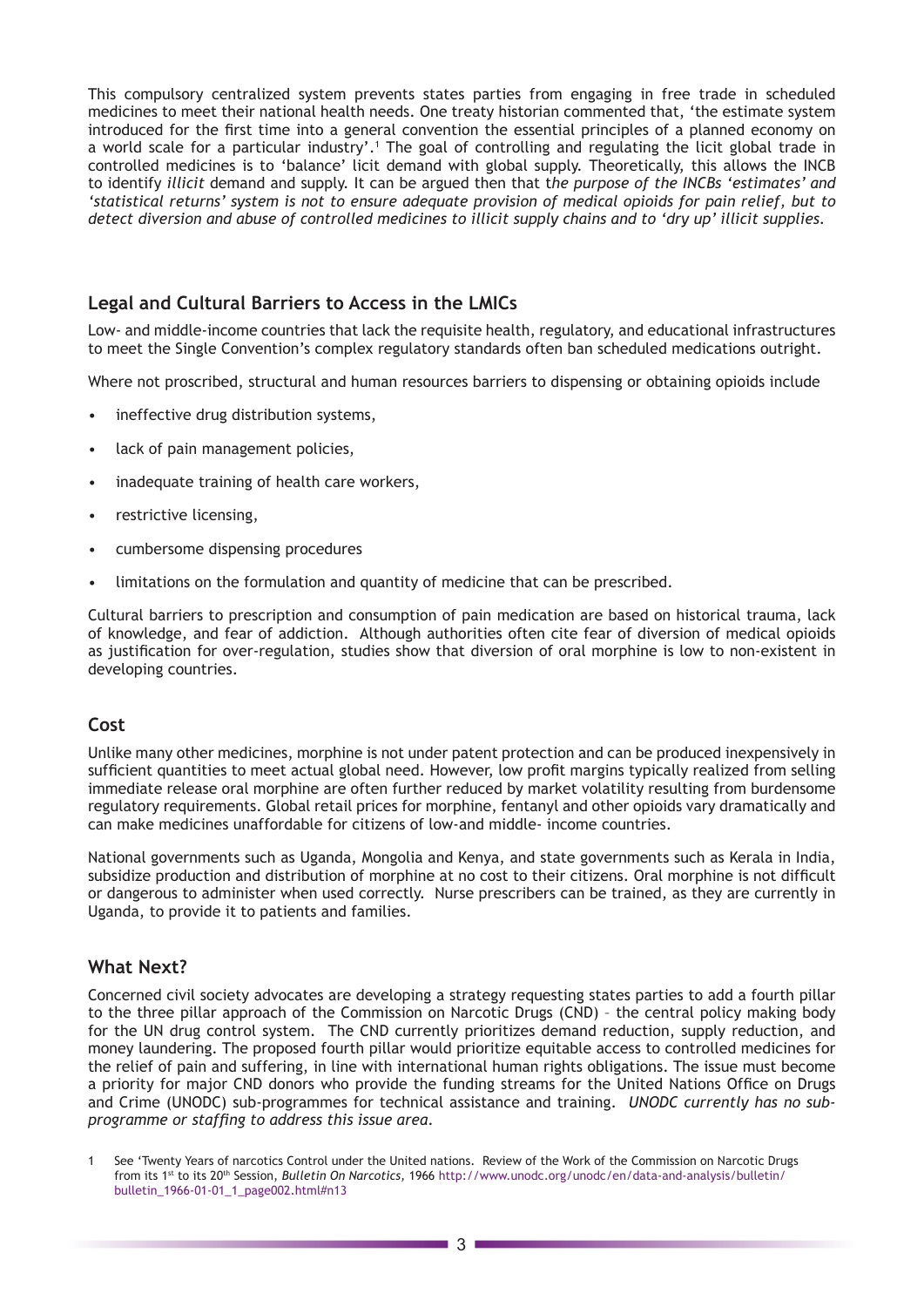This compulsory centralized system prevents states parties from engaging in free trade in scheduled medicines to meet their national health needs. One treaty historian commented that, 'the estimate system introduced for the first time into a general convention the essential principles of a planned economy on a world scale for a particular industry'.1 The goal of controlling and regulating the licit global trade in controlled medicines is to 'balance' licit demand with global supply. Theoretically, this allows the INCB to identify *illicit* demand and supply. It can be argued then that t*he purpose of the INCBs 'estimates' and 'statistical returns' system is not to ensure adequate provision of medical opioids for pain relief, but to detect diversion and abuse of controlled medicines to illicit supply chains and to 'dry up' illicit supplies.*

### **Legal and Cultural Barriers to Access in the LMICs**

Low- and middle-income countries that lack the requisite health, regulatory, and educational infrastructures to meet the Single Convention's complex regulatory standards often ban scheduled medications outright.

Where not proscribed, structural and human resources barriers to dispensing or obtaining opioids include

- ineffective drug distribution systems,
- lack of pain management policies,
- inadequate training of health care workers,
- restrictive licensing,
- cumbersome dispensing procedures
- limitations on the formulation and quantity of medicine that can be prescribed.

Cultural barriers to prescription and consumption of pain medication are based on historical trauma, lack of knowledge, and fear of addiction. Although authorities often cite fear of diversion of medical opioids as justification for over-regulation, studies show that diversion of oral morphine is low to non-existent in developing countries.

#### **Cost**

Unlike many other medicines, morphine is not under patent protection and can be produced inexpensively in sufficient quantities to meet actual global need. However, low profit margins typically realized from selling immediate release oral morphine are often further reduced by market volatility resulting from burdensome regulatory requirements. Global retail prices for morphine, fentanyl and other opioids vary dramatically and can make medicines unaffordable for citizens of low-and middle- income countries.

National governments such as Uganda, Mongolia and Kenya, and state governments such as Kerala in India, subsidize production and distribution of morphine at no cost to their citizens. Oral morphine is not difficult or dangerous to administer when used correctly. Nurse prescribers can be trained, as they are currently in Uganda, to provide it to patients and families.

### **What Next?**

Concerned civil society advocates are developing a strategy requesting states parties to add a fourth pillar to the three pillar approach of the Commission on Narcotic Drugs (CND) – the central policy making body for the UN drug control system. The CND currently prioritizes demand reduction, supply reduction, and money laundering. The proposed fourth pillar would prioritize equitable access to controlled medicines for the relief of pain and suffering, in line with international human rights obligations. The issue must become a priority for major CND donors who provide the funding streams for the United Nations Office on Drugs and Crime (UNODC) sub-programmes for technical assistance and training. *UNODC currently has no subprogramme or staffing to address this issue area*.

<sup>1</sup> See 'Twenty Years of narcotics Control under the United nations. Review of the Work of the Commission on Narcotic Drugs from its 1st to its 20th Session, *Bulletin On Narcotics,* 1966 [http://www.unodc.org/unodc/en/data-and-analysis/bulletin/](http://www.unodc.org/unodc/en/data-and-analysis/bulletin/bulletin_1966-01-01_1_page002.html#n13) [bulletin\\_1966-01-01\\_1\\_page002.html#n13](http://www.unodc.org/unodc/en/data-and-analysis/bulletin/bulletin_1966-01-01_1_page002.html#n13)